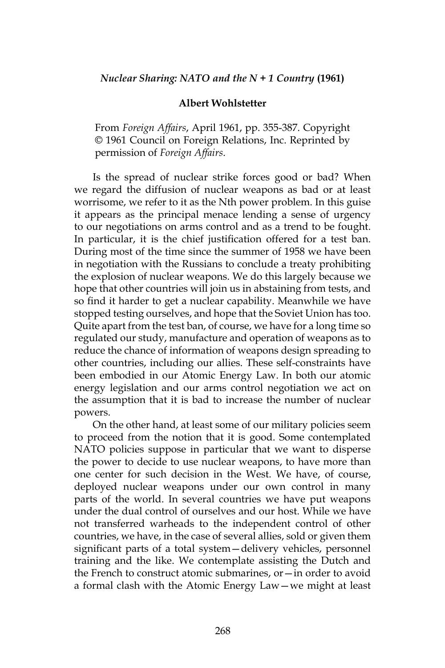#### **Albert Wohlstetter**

From *Foreign Affairs*, April 1961, pp. 355-387. Copyright © 1961 Council on Foreign Relations, Inc. Reprinted by permission of *Foreign Affairs*.

Is the spread of nuclear strike forces good or bad? When we regard the diffusion of nuclear weapons as bad or at least worrisome, we refer to it as the Nth power problem. In this guise it appears as the principal menace lending a sense of urgency to our negotiations on arms control and as a trend to be fought. In particular, it is the chief justification offered for a test ban. During most of the time since the summer of 1958 we have been in negotiation with the Russians to conclude a treaty prohibiting the explosion of nuclear weapons. We do this largely because we hope that other countries will join us in abstaining from tests, and so find it harder to get a nuclear capability. Meanwhile we have stopped testing ourselves, and hope that the Soviet Union has too. Quite apart from the test ban, of course, we have for a long time so regulated our study, manufacture and operation of weapons as to reduce the chance of information of weapons design spreading to other countries, including our allies. These self-constraints have been embodied in our Atomic Energy Law. In both our atomic energy legislation and our arms control negotiation we act on the assumption that it is bad to increase the number of nuclear powers.

On the other hand, at least some of our military policies seem to proceed from the notion that it is good. Some contemplated NATO policies suppose in particular that we want to disperse the power to decide to use nuclear weapons, to have more than one center for such decision in the West. We have, of course, deployed nuclear weapons under our own control in many parts of the world. In several countries we have put weapons under the dual control of ourselves and our host. While we have not transferred warheads to the independent control of other countries, we have, in the case of several allies, sold or given them significant parts of a total system—delivery vehicles, personnel training and the like. We contemplate assisting the Dutch and the French to construct atomic submarines, or—in order to avoid a formal clash with the Atomic Energy Law—we might at least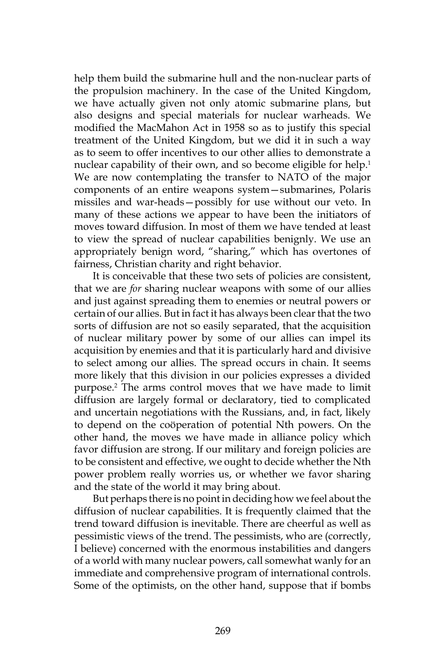help them build the submarine hull and the non-nuclear parts of the propulsion machinery. In the case of the United Kingdom, we have actually given not only atomic submarine plans, but also designs and special materials for nuclear warheads. We modified the MacMahon Act in 1958 so as to justify this special treatment of the United Kingdom, but we did it in such a way as to seem to offer incentives to our other allies to demonstrate a nuclear capability of their own, and so become eligible for help.<sup>1</sup> We are now contemplating the transfer to NATO of the major components of an entire weapons system—submarines, Polaris missiles and war-heads—possibly for use without our veto. In many of these actions we appear to have been the initiators of moves toward diffusion. In most of them we have tended at least to view the spread of nuclear capabilities benignly. We use an appropriately benign word, "sharing," which has overtones of fairness, Christian charity and right behavior.

It is conceivable that these two sets of policies are consistent, that we are *for* sharing nuclear weapons with some of our allies and just against spreading them to enemies or neutral powers or certain of our allies. But in fact it has always been clear that the two sorts of diffusion are not so easily separated, that the acquisition of nuclear military power by some of our allies can impel its acquisition by enemies and that it is particularly hard and divisive to select among our allies. The spread occurs in chain. It seems more likely that this division in our policies expresses a divided purpose.2 The arms control moves that we have made to limit diffusion are largely formal or declaratory, tied to complicated and uncertain negotiations with the Russians, and, in fact, likely to depend on the coöperation of potential Nth powers. On the other hand, the moves we have made in alliance policy which favor diffusion are strong. If our military and foreign policies are to be consistent and effective, we ought to decide whether the Nth power problem really worries us, or whether we favor sharing and the state of the world it may bring about.

But perhaps there is no point in deciding how we feel about the diffusion of nuclear capabilities. It is frequently claimed that the trend toward diffusion is inevitable. There are cheerful as well as pessimistic views of the trend. The pessimists, who are (correctly, I believe) concerned with the enormous instabilities and dangers of a world with many nuclear powers, call somewhat wanly for an immediate and comprehensive program of international controls. Some of the optimists, on the other hand, suppose that if bombs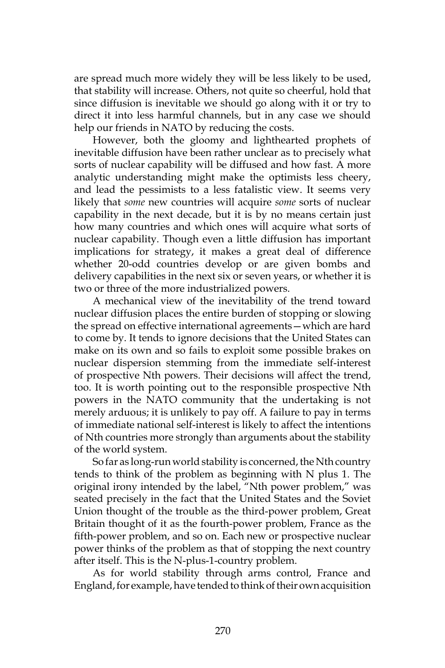are spread much more widely they will be less likely to be used, that stability will increase. Others, not quite so cheerful, hold that since diffusion is inevitable we should go along with it or try to direct it into less harmful channels, but in any case we should help our friends in NATO by reducing the costs.

However, both the gloomy and lighthearted prophets of inevitable diffusion have been rather unclear as to precisely what sorts of nuclear capability will be diffused and how fast. A more analytic understanding might make the optimists less cheery, and lead the pessimists to a less fatalistic view. It seems very likely that *some* new countries will acquire *some* sorts of nuclear capability in the next decade, but it is by no means certain just how many countries and which ones will acquire what sorts of nuclear capability. Though even a little diffusion has important implications for strategy, it makes a great deal of difference whether 20-odd countries develop or are given bombs and delivery capabilities in the next six or seven years, or whether it is two or three of the more industrialized powers.

A mechanical view of the inevitability of the trend toward nuclear diffusion places the entire burden of stopping or slowing the spread on effective international agreements—which are hard to come by. It tends to ignore decisions that the United States can make on its own and so fails to exploit some possible brakes on nuclear dispersion stemming from the immediate self-interest of prospective Nth powers. Their decisions will affect the trend, too. It is worth pointing out to the responsible prospective Nth powers in the NATO community that the undertaking is not merely arduous; it is unlikely to pay off. A failure to pay in terms of immediate national self-interest is likely to affect the intentions of Nth countries more strongly than arguments about the stability of the world system.

So far as long-run world stability is concerned, the Nth country tends to think of the problem as beginning with N plus 1. The original irony intended by the label, "Nth power problem," was seated precisely in the fact that the United States and the Soviet Union thought of the trouble as the third-power problem, Great Britain thought of it as the fourth-power problem, France as the fifth-power problem, and so on. Each new or prospective nuclear power thinks of the problem as that of stopping the next country after itself. This is the N-plus-1-country problem.

As for world stability through arms control, France and England, for example, have tended to think of their own acquisition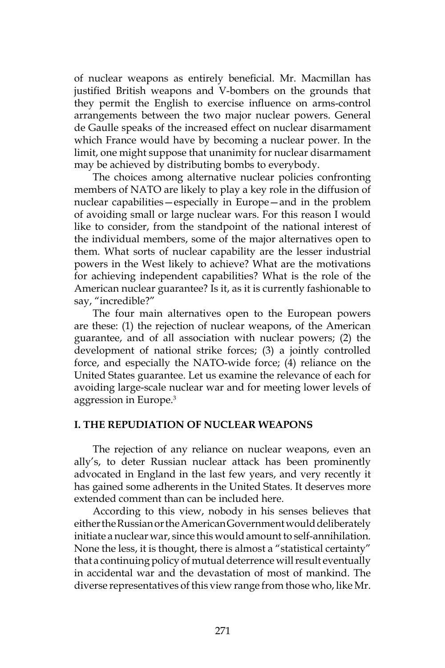of nuclear weapons as entirely beneficial. Mr. Macmillan has justified British weapons and V-bombers on the grounds that they permit the English to exercise influence on arms-control arrangements between the two major nuclear powers. General de Gaulle speaks of the increased effect on nuclear disarmament which France would have by becoming a nuclear power. In the limit, one might suppose that unanimity for nuclear disarmament may be achieved by distributing bombs to everybody.

The choices among alternative nuclear policies confronting members of NATO are likely to play a key role in the diffusion of nuclear capabilities—especially in Europe—and in the problem of avoiding small or large nuclear wars. For this reason I would like to consider, from the standpoint of the national interest of the individual members, some of the major alternatives open to them. What sorts of nuclear capability are the lesser industrial powers in the West likely to achieve? What are the motivations for achieving independent capabilities? What is the role of the American nuclear guarantee? Is it, as it is currently fashionable to say, "incredible?"

The four main alternatives open to the European powers are these: (1) the rejection of nuclear weapons, of the American guarantee, and of all association with nuclear powers; (2) the development of national strike forces; (3) a jointly controlled force, and especially the NATO-wide force; (4) reliance on the United States guarantee. Let us examine the relevance of each for avoiding large-scale nuclear war and for meeting lower levels of aggression in Europe.3

## **I. THE REPUDIATION OF NUCLEAR WEAPONS**

The rejection of any reliance on nuclear weapons, even an ally's, to deter Russian nuclear attack has been prominently advocated in England in the last few years, and very recently it has gained some adherents in the United States. It deserves more extended comment than can be included here.

According to this view, nobody in his senses believes that either the Russian or the American Government would deliberately initiate a nuclear war, since this would amount to self-annihilation. None the less, it is thought, there is almost a "statistical certainty" that a continuing policy of mutual deterrence will result eventually in accidental war and the devastation of most of mankind. The diverse representatives of this view range from those who, like Mr.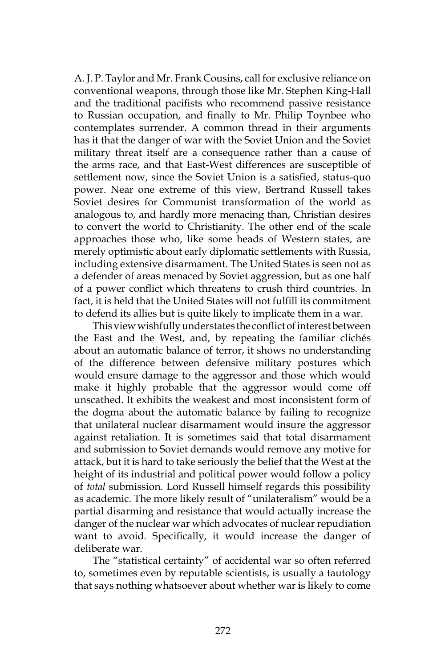A. J. P. Taylor and Mr. Frank Cousins, call for exclusive reliance on conventional weapons, through those like Mr. Stephen King-Hall and the traditional pacifists who recommend passive resistance to Russian occupation, and finally to Mr. Philip Toynbee who contemplates surrender. A common thread in their arguments has it that the danger of war with the Soviet Union and the Soviet military threat itself are a consequence rather than a cause of the arms race, and that East-West differences are susceptible of settlement now, since the Soviet Union is a satisfied, status-quo power. Near one extreme of this view, Bertrand Russell takes Soviet desires for Communist transformation of the world as analogous to, and hardly more menacing than, Christian desires to convert the world to Christianity. The other end of the scale approaches those who, like some heads of Western states, are merely optimistic about early diplomatic settlements with Russia, including extensive disarmament. The United States is seen not as a defender of areas menaced by Soviet aggression, but as one half of a power conflict which threatens to crush third countries. In fact, it is held that the United States will not fulfill its commitment to defend its allies but is quite likely to implicate them in a war.

This view wishfully understates the conflict of interest between the East and the West, and, by repeating the familiar clichés about an automatic balance of terror, it shows no understanding of the difference between defensive military postures which would ensure damage to the aggressor and those which would make it highly probable that the aggressor would come off unscathed. It exhibits the weakest and most inconsistent form of the dogma about the automatic balance by failing to recognize that unilateral nuclear disarmament would insure the aggressor against retaliation. It is sometimes said that total disarmament and submission to Soviet demands would remove any motive for attack, but it is hard to take seriously the belief that the West at the height of its industrial and political power would follow a policy of *total* submission. Lord Russell himself regards this possibility as academic. The more likely result of "unilateralism" would be a partial disarming and resistance that would actually increase the danger of the nuclear war which advocates of nuclear repudiation want to avoid. Specifically, it would increase the danger of deliberate war.

The "statistical certainty" of accidental war so often referred to, sometimes even by reputable scientists, is usually a tautology that says nothing whatsoever about whether war is likely to come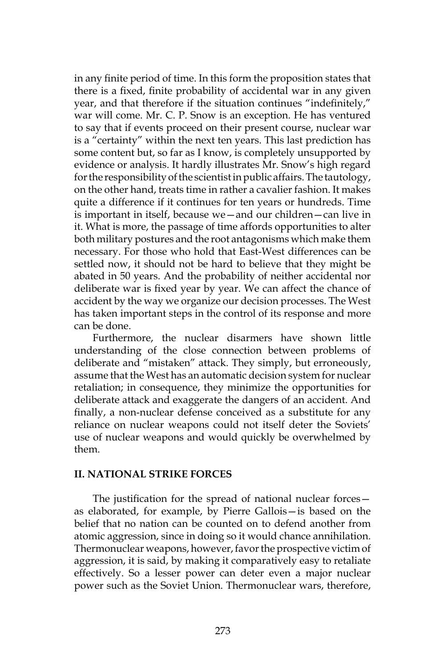in any finite period of time. In this form the proposition states that there is a fixed, finite probability of accidental war in any given year, and that therefore if the situation continues "indefinitely," war will come. Mr. C. P. Snow is an exception. He has ventured to say that if events proceed on their present course, nuclear war is a "certainty" within the next ten years. This last prediction has some content but, so far as I know, is completely unsupported by evidence or analysis. It hardly illustrates Mr. Snow's high regard for the responsibility of the scientist in public affairs. The tautology, on the other hand, treats time in rather a cavalier fashion. It makes quite a difference if it continues for ten years or hundreds. Time is important in itself, because we—and our children—can live in it. What is more, the passage of time affords opportunities to alter both military postures and the root antagonisms which make them necessary. For those who hold that East-West differences can be settled now, it should not be hard to believe that they might be abated in 50 years. And the probability of neither accidental nor deliberate war is fixed year by year. We can affect the chance of accident by the way we organize our decision processes. The West has taken important steps in the control of its response and more can be done.

Furthermore, the nuclear disarmers have shown little understanding of the close connection between problems of deliberate and "mistaken" attack. They simply, but erroneously, assume that the West has an automatic decision system for nuclear retaliation; in consequence, they minimize the opportunities for deliberate attack and exaggerate the dangers of an accident. And finally, a non-nuclear defense conceived as a substitute for any reliance on nuclear weapons could not itself deter the Soviets' use of nuclear weapons and would quickly be overwhelmed by them.

### **II. NATIONAL STRIKE FORCES**

The justification for the spread of national nuclear forces as elaborated, for example, by Pierre Gallois—is based on the belief that no nation can be counted on to defend another from atomic aggression, since in doing so it would chance annihilation. Thermonuclear weapons, however, favor the prospective victim of aggression, it is said, by making it comparatively easy to retaliate effectively. So a lesser power can deter even a major nuclear power such as the Soviet Union. Thermonuclear wars, therefore,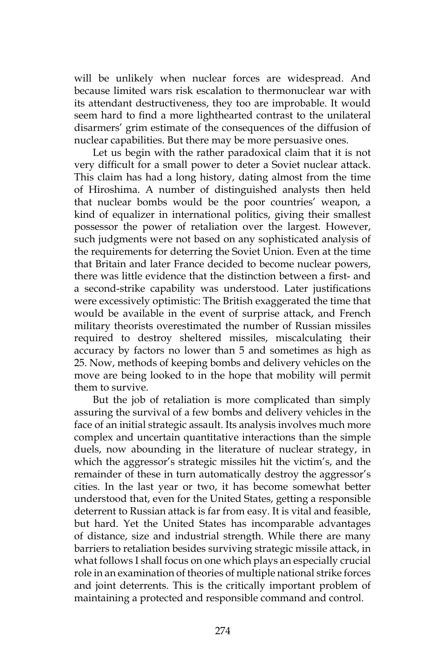will be unlikely when nuclear forces are widespread. And because limited wars risk escalation to thermonuclear war with its attendant destructiveness, they too are improbable. It would seem hard to find a more lighthearted contrast to the unilateral disarmers' grim estimate of the consequences of the diffusion of nuclear capabilities. But there may be more persuasive ones.

Let us begin with the rather paradoxical claim that it is not very difficult for a small power to deter a Soviet nuclear attack. This claim has had a long history, dating almost from the time of Hiroshima. A number of distinguished analysts then held that nuclear bombs would be the poor countries' weapon, a kind of equalizer in international politics, giving their smallest possessor the power of retaliation over the largest. However, such judgments were not based on any sophisticated analysis of the requirements for deterring the Soviet Union. Even at the time that Britain and later France decided to become nuclear powers, there was little evidence that the distinction between a first- and a second-strike capability was understood. Later justifications were excessively optimistic: The British exaggerated the time that would be available in the event of surprise attack, and French military theorists overestimated the number of Russian missiles required to destroy sheltered missiles, miscalculating their accuracy by factors no lower than 5 and sometimes as high as 25. Now, methods of keeping bombs and delivery vehicles on the move are being looked to in the hope that mobility will permit them to survive.

But the job of retaliation is more complicated than simply assuring the survival of a few bombs and delivery vehicles in the face of an initial strategic assault. Its analysis involves much more complex and uncertain quantitative interactions than the simple duels, now abounding in the literature of nuclear strategy, in which the aggressor's strategic missiles hit the victim's, and the remainder of these in turn automatically destroy the aggressor's cities. In the last year or two, it has become somewhat better understood that, even for the United States, getting a responsible deterrent to Russian attack is far from easy. It is vital and feasible, but hard. Yet the United States has incomparable advantages of distance, size and industrial strength. While there are many barriers to retaliation besides surviving strategic missile attack, in what follows I shall focus on one which plays an especially crucial role in an examination of theories of multiple national strike forces and joint deterrents. This is the critically important problem of maintaining a protected and responsible command and control.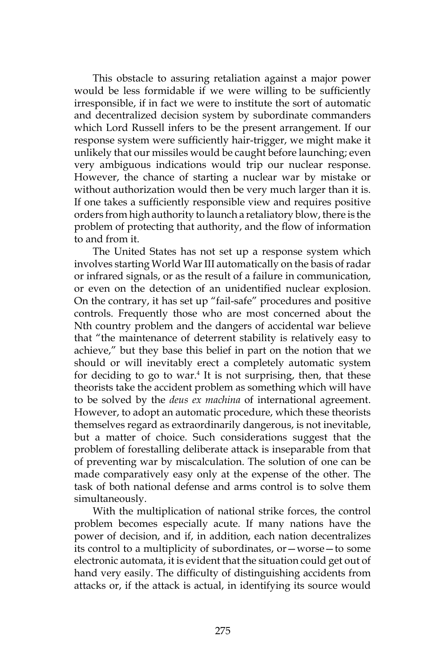This obstacle to assuring retaliation against a major power would be less formidable if we were willing to be sufficiently irresponsible, if in fact we were to institute the sort of automatic and decentralized decision system by subordinate commanders which Lord Russell infers to be the present arrangement. If our response system were sufficiently hair-trigger, we might make it unlikely that our missiles would be caught before launching; even very ambiguous indications would trip our nuclear response. However, the chance of starting a nuclear war by mistake or without authorization would then be very much larger than it is. If one takes a sufficiently responsible view and requires positive orders from high authority to launch a retaliatory blow, there is the problem of protecting that authority, and the flow of information to and from it.

The United States has not set up a response system which involves starting World War III automatically on the basis of radar or infrared signals, or as the result of a failure in communication, or even on the detection of an unidentified nuclear explosion. On the contrary, it has set up "fail-safe" procedures and positive controls. Frequently those who are most concerned about the Nth country problem and the dangers of accidental war believe that "the maintenance of deterrent stability is relatively easy to achieve," but they base this belief in part on the notion that we should or will inevitably erect a completely automatic system for deciding to go to war.<sup>4</sup> It is not surprising, then, that these theorists take the accident problem as something which will have to be solved by the *deus ex machina* of international agreement. However, to adopt an automatic procedure, which these theorists themselves regard as extraordinarily dangerous, is not inevitable, but a matter of choice. Such considerations suggest that the problem of forestalling deliberate attack is inseparable from that of preventing war by miscalculation. The solution of one can be made comparatively easy only at the expense of the other. The task of both national defense and arms control is to solve them simultaneously.

With the multiplication of national strike forces, the control problem becomes especially acute. If many nations have the power of decision, and if, in addition, each nation decentralizes its control to a multiplicity of subordinates, or—worse—to some electronic automata, it is evident that the situation could get out of hand very easily. The difficulty of distinguishing accidents from attacks or, if the attack is actual, in identifying its source would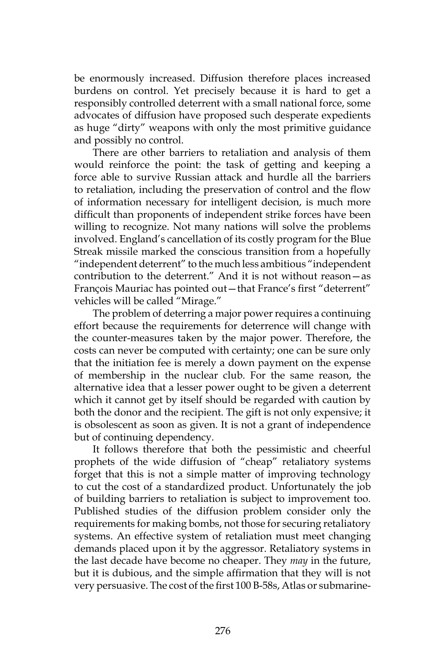be enormously increased. Diffusion therefore places increased burdens on control. Yet precisely because it is hard to get a responsibly controlled deterrent with a small national force, some advocates of diffusion have proposed such desperate expedients as huge "dirty" weapons with only the most primitive guidance and possibly no control.

There are other barriers to retaliation and analysis of them would reinforce the point: the task of getting and keeping a force able to survive Russian attack and hurdle all the barriers to retaliation, including the preservation of control and the flow of information necessary for intelligent decision, is much more difficult than proponents of independent strike forces have been willing to recognize. Not many nations will solve the problems involved. England's cancellation of its costly program for the Blue Streak missile marked the conscious transition from a hopefully "independent deterrent" to the much less ambitious "independent contribution to the deterrent." And it is not without reason—as François Mauriac has pointed out—that France's first "deterrent" vehicles will be called "Mirage."

The problem of deterring a major power requires a continuing effort because the requirements for deterrence will change with the counter-measures taken by the major power. Therefore, the costs can never be computed with certainty; one can be sure only that the initiation fee is merely a down payment on the expense of membership in the nuclear club. For the same reason, the alternative idea that a lesser power ought to be given a deterrent which it cannot get by itself should be regarded with caution by both the donor and the recipient. The gift is not only expensive; it is obsolescent as soon as given. It is not a grant of independence but of continuing dependency.

It follows therefore that both the pessimistic and cheerful prophets of the wide diffusion of "cheap" retaliatory systems forget that this is not a simple matter of improving technology to cut the cost of a standardized product. Unfortunately the job of building barriers to retaliation is subject to improvement too. Published studies of the diffusion problem consider only the requirements for making bombs, not those for securing retaliatory systems. An effective system of retaliation must meet changing demands placed upon it by the aggressor. Retaliatory systems in the last decade have become no cheaper. They *may* in the future, but it is dubious, and the simple affirmation that they will is not very persuasive. The cost of the first 100 B-58s, Atlas or submarine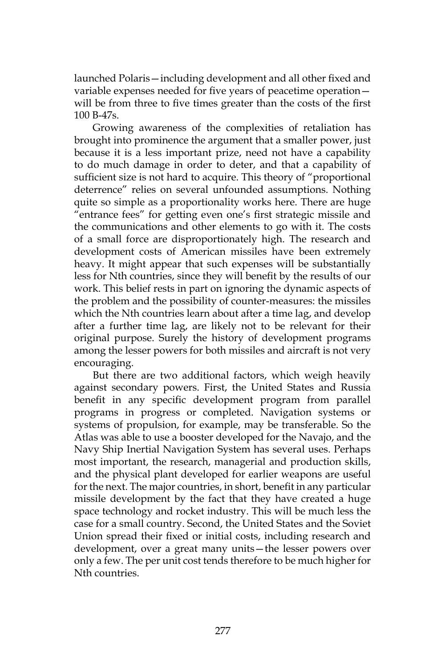launched Polaris—including development and all other fixed and variable expenses needed for five years of peacetime operation will be from three to five times greater than the costs of the first 100 B-47s.

Growing awareness of the complexities of retaliation has brought into prominence the argument that a smaller power, just because it is a less important prize, need not have a capability to do much damage in order to deter, and that a capability of sufficient size is not hard to acquire. This theory of "proportional deterrence" relies on several unfounded assumptions. Nothing quite so simple as a proportionality works here. There are huge "entrance fees" for getting even one's first strategic missile and the communications and other elements to go with it. The costs of a small force are disproportionately high. The research and development costs of American missiles have been extremely heavy. It might appear that such expenses will be substantially less for Nth countries, since they will benefit by the results of our work. This belief rests in part on ignoring the dynamic aspects of the problem and the possibility of counter-measures: the missiles which the Nth countries learn about after a time lag, and develop after a further time lag, are likely not to be relevant for their original purpose. Surely the history of development programs among the lesser powers for both missiles and aircraft is not very encouraging.

But there are two additional factors, which weigh heavily against secondary powers. First, the United States and Russia benefit in any specific development program from parallel programs in progress or completed. Navigation systems or systems of propulsion, for example, may be transferable. So the Atlas was able to use a booster developed for the Navajo, and the Navy Ship Inertial Navigation System has several uses. Perhaps most important, the research, managerial and production skills, and the physical plant developed for earlier weapons are useful for the next. The major countries, in short, benefit in any particular missile development by the fact that they have created a huge space technology and rocket industry. This will be much less the case for a small country. Second, the United States and the Soviet Union spread their fixed or initial costs, including research and development, over a great many units—the lesser powers over only a few. The per unit cost tends therefore to be much higher for Nth countries.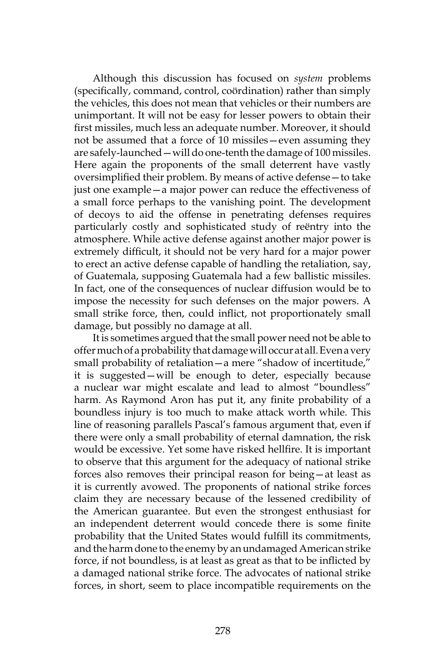Although this discussion has focused on *system* problems (specifically, command, control, coördination) rather than simply the vehicles, this does not mean that vehicles or their numbers are unimportant. It will not be easy for lesser powers to obtain their first missiles, much less an adequate number. Moreover, it should not be assumed that a force of 10 missiles—even assuming they are safely-launched—will do one-tenth the damage of 100 missiles. Here again the proponents of the small deterrent have vastly oversimplified their problem. By means of active defense—to take just one example—a major power can reduce the effectiveness of a small force perhaps to the vanishing point. The development of decoys to aid the offense in penetrating defenses requires particularly costly and sophisticated study of reëntry into the atmosphere. While active defense against another major power is extremely difficult, it should not be very hard for a major power to erect an active defense capable of handling the retaliation, say, of Guatemala, supposing Guatemala had a few ballistic missiles. In fact, one of the consequences of nuclear diffusion would be to impose the necessity for such defenses on the major powers. A small strike force, then, could inflict, not proportionately small damage, but possibly no damage at all.

It is sometimes argued that the small power need not be able to offer much of a probability that damage will occur at all. Even a very small probability of retaliation—a mere "shadow of incertitude," it is suggested—will be enough to deter, especially because a nuclear war might escalate and lead to almost "boundless" harm. As Raymond Aron has put it, any finite probability of a boundless injury is too much to make attack worth while. This line of reasoning parallels Pascal's famous argument that, even if there were only a small probability of eternal damnation, the risk would be excessive. Yet some have risked hellfire. It is important to observe that this argument for the adequacy of national strike forces also removes their principal reason for being—at least as it is currently avowed. The proponents of national strike forces claim they are necessary because of the lessened credibility of the American guarantee. But even the strongest enthusiast for an independent deterrent would concede there is some finite probability that the United States would fulfill its commitments, and the harm done to the enemy by an undamaged American strike force, if not boundless, is at least as great as that to be inflicted by a damaged national strike force. The advocates of national strike forces, in short, seem to place incompatible requirements on the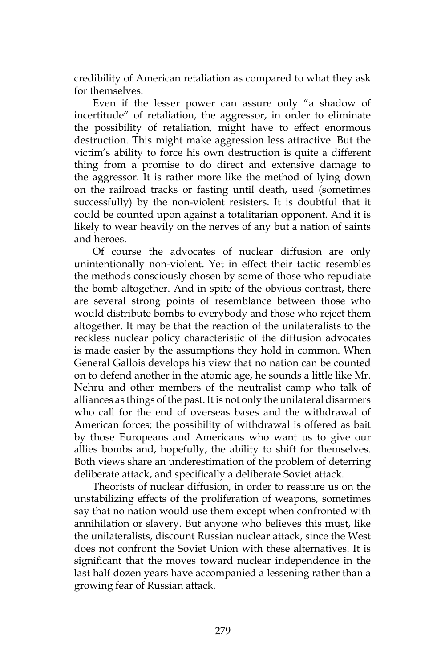credibility of American retaliation as compared to what they ask for themselves.

Even if the lesser power can assure only "a shadow of incertitude" of retaliation, the aggressor, in order to eliminate the possibility of retaliation, might have to effect enormous destruction. This might make aggression less attractive. But the victim's ability to force his own destruction is quite a different thing from a promise to do direct and extensive damage to the aggressor. It is rather more like the method of lying down on the railroad tracks or fasting until death, used (sometimes successfully) by the non-violent resisters. It is doubtful that it could be counted upon against a totalitarian opponent. And it is likely to wear heavily on the nerves of any but a nation of saints and heroes.

Of course the advocates of nuclear diffusion are only unintentionally non-violent. Yet in effect their tactic resembles the methods consciously chosen by some of those who repudiate the bomb altogether. And in spite of the obvious contrast, there are several strong points of resemblance between those who would distribute bombs to everybody and those who reject them altogether. It may be that the reaction of the unilateralists to the reckless nuclear policy characteristic of the diffusion advocates is made easier by the assumptions they hold in common. When General Gallois develops his view that no nation can be counted on to defend another in the atomic age, he sounds a little like Mr. Nehru and other members of the neutralist camp who talk of alliances as things of the past. It is not only the unilateral disarmers who call for the end of overseas bases and the withdrawal of American forces; the possibility of withdrawal is offered as bait by those Europeans and Americans who want us to give our allies bombs and, hopefully, the ability to shift for themselves. Both views share an underestimation of the problem of deterring deliberate attack, and specifically a deliberate Soviet attack.

Theorists of nuclear diffusion, in order to reassure us on the unstabilizing effects of the proliferation of weapons, sometimes say that no nation would use them except when confronted with annihilation or slavery. But anyone who believes this must, like the unilateralists, discount Russian nuclear attack, since the West does not confront the Soviet Union with these alternatives. It is significant that the moves toward nuclear independence in the last half dozen years have accompanied a lessening rather than a growing fear of Russian attack.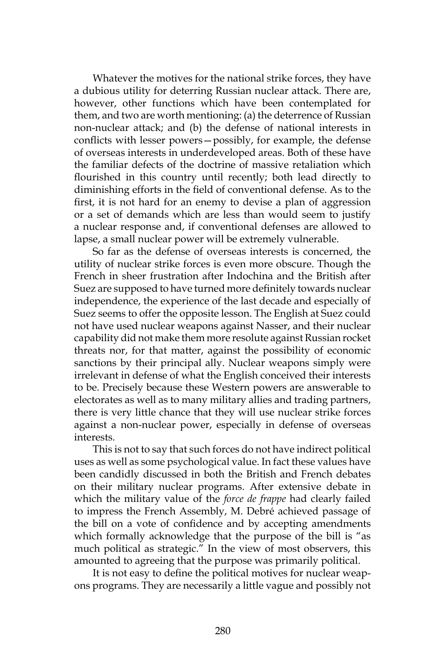Whatever the motives for the national strike forces, they have a dubious utility for deterring Russian nuclear attack. There are, however, other functions which have been contemplated for them, and two are worth mentioning: (a) the deterrence of Russian non-nuclear attack; and (b) the defense of national interests in conflicts with lesser powers—possibly, for example, the defense of overseas interests in underdeveloped areas. Both of these have the familiar defects of the doctrine of massive retaliation which flourished in this country until recently; both lead directly to diminishing efforts in the field of conventional defense. As to the first, it is not hard for an enemy to devise a plan of aggression or a set of demands which are less than would seem to justify a nuclear response and, if conventional defenses are allowed to lapse, a small nuclear power will be extremely vulnerable.

So far as the defense of overseas interests is concerned, the utility of nuclear strike forces is even more obscure. Though the French in sheer frustration after Indochina and the British after Suez are supposed to have turned more definitely towards nuclear independence, the experience of the last decade and especially of Suez seems to offer the opposite lesson. The English at Suez could not have used nuclear weapons against Nasser, and their nuclear capability did not make them more resolute against Russian rocket threats nor, for that matter, against the possibility of economic sanctions by their principal ally. Nuclear weapons simply were irrelevant in defense of what the English conceived their interests to be. Precisely because these Western powers are answerable to electorates as well as to many military allies and trading partners, there is very little chance that they will use nuclear strike forces against a non-nuclear power, especially in defense of overseas interests.

This is not to say that such forces do not have indirect political uses as well as some psychological value. In fact these values have been candidly discussed in both the British and French debates on their military nuclear programs. After extensive debate in which the military value of the *force de frappe* had clearly failed to impress the French Assembly, M. Debré achieved passage of the bill on a vote of confidence and by accepting amendments which formally acknowledge that the purpose of the bill is "as much political as strategic." In the view of most observers, this amounted to agreeing that the purpose was primarily political.

It is not easy to define the political motives for nuclear weapons programs. They are necessarily a little vague and possibly not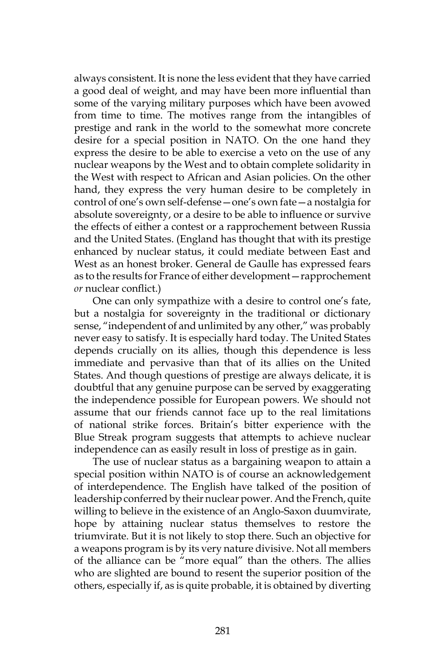always consistent. It is none the less evident that they have carried a good deal of weight, and may have been more influential than some of the varying military purposes which have been avowed from time to time. The motives range from the intangibles of prestige and rank in the world to the somewhat more concrete desire for a special position in NATO. On the one hand they express the desire to be able to exercise a veto on the use of any nuclear weapons by the West and to obtain complete solidarity in the West with respect to African and Asian policies. On the other hand, they express the very human desire to be completely in control of one's own self-defense—one's own fate—a nostalgia for absolute sovereignty, or a desire to be able to influence or survive the effects of either a contest or a rapprochement between Russia and the United States. (England has thought that with its prestige enhanced by nuclear status, it could mediate between East and West as an honest broker. General de Gaulle has expressed fears as to the results for France of either development—rapprochement *or* nuclear conflict.)

One can only sympathize with a desire to control one's fate, but a nostalgia for sovereignty in the traditional or dictionary sense, "independent of and unlimited by any other," was probably never easy to satisfy. It is especially hard today. The United States depends crucially on its allies, though this dependence is less immediate and pervasive than that of its allies on the United States. And though questions of prestige are always delicate, it is doubtful that any genuine purpose can be served by exaggerating the independence possible for European powers. We should not assume that our friends cannot face up to the real limitations of national strike forces. Britain's bitter experience with the Blue Streak program suggests that attempts to achieve nuclear independence can as easily result in loss of prestige as in gain.

The use of nuclear status as a bargaining weapon to attain a special position within NATO is of course an acknowledgement of interdependence. The English have talked of the position of leadership conferred by their nuclear power. And the French, quite willing to believe in the existence of an Anglo-Saxon duumvirate, hope by attaining nuclear status themselves to restore the triumvirate. But it is not likely to stop there. Such an objective for a weapons program is by its very nature divisive. Not all members of the alliance can be "more equal" than the others. The allies who are slighted are bound to resent the superior position of the others, especially if, as is quite probable, it is obtained by diverting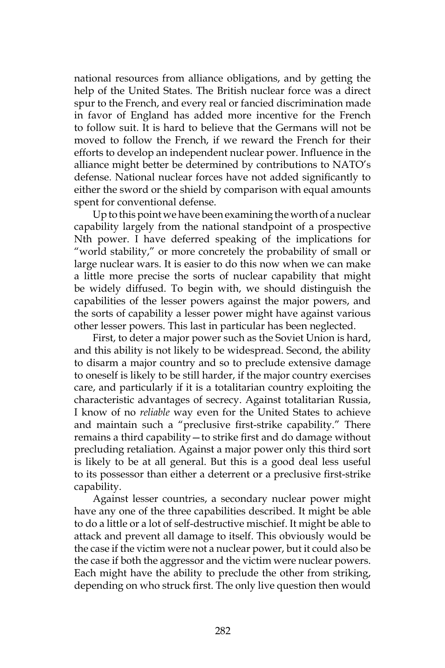national resources from alliance obligations, and by getting the help of the United States. The British nuclear force was a direct spur to the French, and every real or fancied discrimination made in favor of England has added more incentive for the French to follow suit. It is hard to believe that the Germans will not be moved to follow the French, if we reward the French for their efforts to develop an independent nuclear power. Influence in the alliance might better be determined by contributions to NATO's defense. National nuclear forces have not added significantly to either the sword or the shield by comparison with equal amounts spent for conventional defense.

Up to this point we have been examining the worth of a nuclear capability largely from the national standpoint of a prospective Nth power. I have deferred speaking of the implications for "world stability," or more concretely the probability of small or large nuclear wars. It is easier to do this now when we can make a little more precise the sorts of nuclear capability that might be widely diffused. To begin with, we should distinguish the capabilities of the lesser powers against the major powers, and the sorts of capability a lesser power might have against various other lesser powers. This last in particular has been neglected.

First, to deter a major power such as the Soviet Union is hard, and this ability is not likely to be widespread. Second, the ability to disarm a major country and so to preclude extensive damage to oneself is likely to be still harder, if the major country exercises care, and particularly if it is a totalitarian country exploiting the characteristic advantages of secrecy. Against totalitarian Russia, I know of no *reliable* way even for the United States to achieve and maintain such a "preclusive first-strike capability." There remains a third capability—to strike first and do damage without precluding retaliation. Against a major power only this third sort is likely to be at all general. But this is a good deal less useful to its possessor than either a deterrent or a preclusive first-strike capability.

Against lesser countries, a secondary nuclear power might have any one of the three capabilities described. It might be able to do a little or a lot of self-destructive mischief. It might be able to attack and prevent all damage to itself. This obviously would be the case if the victim were not a nuclear power, but it could also be the case if both the aggressor and the victim were nuclear powers. Each might have the ability to preclude the other from striking, depending on who struck first. The only live question then would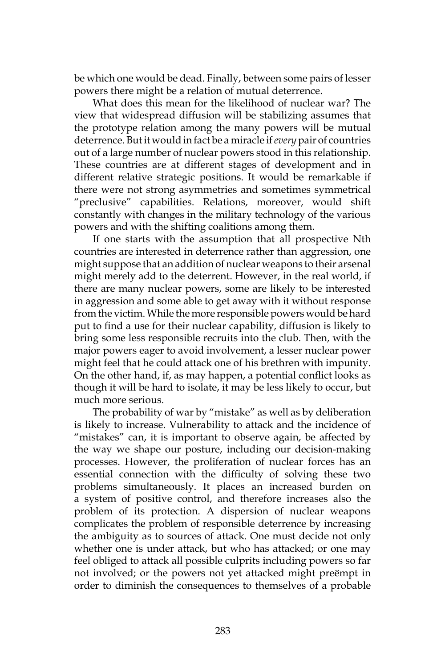be which one would be dead. Finally, between some pairs of lesser powers there might be a relation of mutual deterrence.

What does this mean for the likelihood of nuclear war? The view that widespread diffusion will be stabilizing assumes that the prototype relation among the many powers will be mutual deterrence. But it would in fact be a miracle if *every* pair of countries out of a large number of nuclear powers stood in this relationship. These countries are at different stages of development and in different relative strategic positions. It would be remarkable if there were not strong asymmetries and sometimes symmetrical "preclusive" capabilities. Relations, moreover, would shift constantly with changes in the military technology of the various powers and with the shifting coalitions among them.

If one starts with the assumption that all prospective Nth countries are interested in deterrence rather than aggression, one might suppose that an addition of nuclear weapons to their arsenal might merely add to the deterrent. However, in the real world, if there are many nuclear powers, some are likely to be interested in aggression and some able to get away with it without response from the victim. While the more responsible powers would be hard put to find a use for their nuclear capability, diffusion is likely to bring some less responsible recruits into the club. Then, with the major powers eager to avoid involvement, a lesser nuclear power might feel that he could attack one of his brethren with impunity. On the other hand, if, as may happen, a potential conflict looks as though it will be hard to isolate, it may be less likely to occur, but much more serious.

The probability of war by "mistake" as well as by deliberation is likely to increase. Vulnerability to attack and the incidence of "mistakes" can, it is important to observe again, be affected by the way we shape our posture, including our decision-making processes. However, the proliferation of nuclear forces has an essential connection with the difficulty of solving these two problems simultaneously. It places an increased burden on a system of positive control, and therefore increases also the problem of its protection. A dispersion of nuclear weapons complicates the problem of responsible deterrence by increasing the ambiguity as to sources of attack. One must decide not only whether one is under attack, but who has attacked; or one may feel obliged to attack all possible culprits including powers so far not involved; or the powers not yet attacked might preëmpt in order to diminish the consequences to themselves of a probable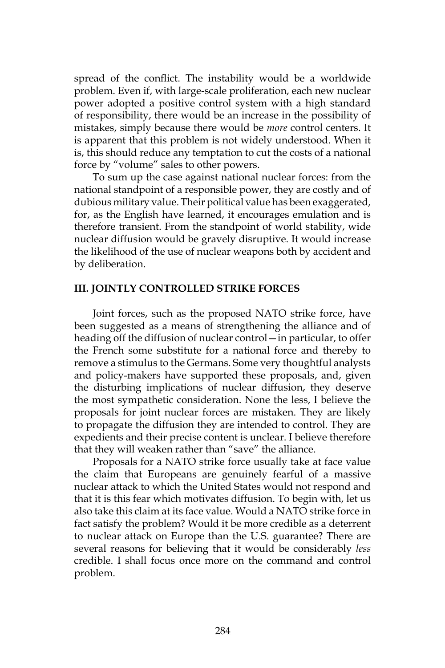spread of the conflict. The instability would be a worldwide problem. Even if, with large-scale proliferation, each new nuclear power adopted a positive control system with a high standard of responsibility, there would be an increase in the possibility of mistakes, simply because there would be *more* control centers. It is apparent that this problem is not widely understood. When it is, this should reduce any temptation to cut the costs of a national force by "volume" sales to other powers.

To sum up the case against national nuclear forces: from the national standpoint of a responsible power, they are costly and of dubious military value. Their political value has been exaggerated, for, as the English have learned, it encourages emulation and is therefore transient. From the standpoint of world stability, wide nuclear diffusion would be gravely disruptive. It would increase the likelihood of the use of nuclear weapons both by accident and by deliberation.

### **III. JOINTLY CONTROLLED STRIKE FORCES**

Joint forces, such as the proposed NATO strike force, have been suggested as a means of strengthening the alliance and of heading off the diffusion of nuclear control—in particular, to offer the French some substitute for a national force and thereby to remove a stimulus to the Germans. Some very thoughtful analysts and policy-makers have supported these proposals, and, given the disturbing implications of nuclear diffusion, they deserve the most sympathetic consideration. None the less, I believe the proposals for joint nuclear forces are mistaken. They are likely to propagate the diffusion they are intended to control. They are expedients and their precise content is unclear. I believe therefore that they will weaken rather than "save" the alliance.

Proposals for a NATO strike force usually take at face value the claim that Europeans are genuinely fearful of a massive nuclear attack to which the United States would not respond and that it is this fear which motivates diffusion. To begin with, let us also take this claim at its face value. Would a NATO strike force in fact satisfy the problem? Would it be more credible as a deterrent to nuclear attack on Europe than the U.S. guarantee? There are several reasons for believing that it would be considerably *less* credible. I shall focus once more on the command and control problem.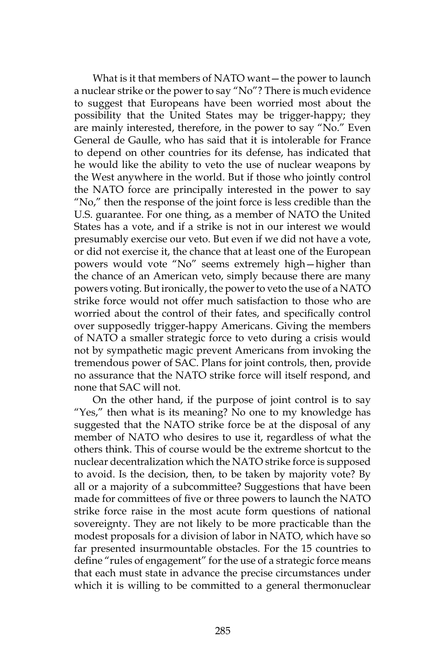What is it that members of NATO want—the power to launch a nuclear strike or the power to say "No"? There is much evidence to suggest that Europeans have been worried most about the possibility that the United States may be trigger-happy; they are mainly interested, therefore, in the power to say "No." Even General de Gaulle, who has said that it is intolerable for France to depend on other countries for its defense, has indicated that he would like the ability to veto the use of nuclear weapons by the West anywhere in the world. But if those who jointly control the NATO force are principally interested in the power to say "No," then the response of the joint force is less credible than the U.S. guarantee. For one thing, as a member of NATO the United States has a vote, and if a strike is not in our interest we would presumably exercise our veto. But even if we did not have a vote, or did not exercise it, the chance that at least one of the European powers would vote "No" seems extremely high—higher than the chance of an American veto, simply because there are many powers voting. But ironically, the power to veto the use of a NATO strike force would not offer much satisfaction to those who are worried about the control of their fates, and specifically control over supposedly trigger-happy Americans. Giving the members of NATO a smaller strategic force to veto during a crisis would not by sympathetic magic prevent Americans from invoking the tremendous power of SAC. Plans for joint controls, then, provide no assurance that the NATO strike force will itself respond, and none that SAC will not.

On the other hand, if the purpose of joint control is to say "Yes," then what is its meaning? No one to my knowledge has suggested that the NATO strike force be at the disposal of any member of NATO who desires to use it, regardless of what the others think. This of course would be the extreme shortcut to the nuclear decentralization which the NATO strike force is supposed to avoid. Is the decision, then, to be taken by majority vote? By all or a majority of a subcommittee? Suggestions that have been made for committees of five or three powers to launch the NATO strike force raise in the most acute form questions of national sovereignty. They are not likely to be more practicable than the modest proposals for a division of labor in NATO, which have so far presented insurmountable obstacles. For the 15 countries to define "rules of engagement" for the use of a strategic force means that each must state in advance the precise circumstances under which it is willing to be committed to a general thermonuclear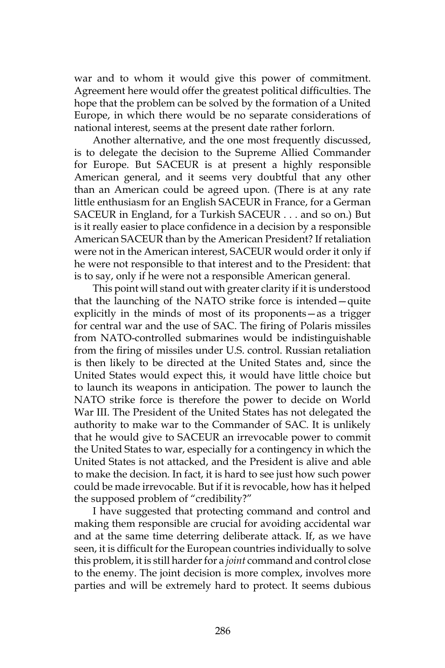war and to whom it would give this power of commitment. Agreement here would offer the greatest political difficulties. The hope that the problem can be solved by the formation of a United Europe, in which there would be no separate considerations of national interest, seems at the present date rather forlorn.

Another alternative, and the one most frequently discussed, is to delegate the decision to the Supreme Allied Commander for Europe. But SACEUR is at present a highly responsible American general, and it seems very doubtful that any other than an American could be agreed upon. (There is at any rate little enthusiasm for an English SACEUR in France, for a German SACEUR in England, for a Turkish SACEUR . . . and so on.) But is it really easier to place confidence in a decision by a responsible American SACEUR than by the American President? If retaliation were not in the American interest, SACEUR would order it only if he were not responsible to that interest and to the President: that is to say, only if he were not a responsible American general.

This point will stand out with greater clarity if it is understood that the launching of the NATO strike force is intended—quite explicitly in the minds of most of its proponents—as a trigger for central war and the use of SAC. The firing of Polaris missiles from NATO-controlled submarines would be indistinguishable from the firing of missiles under U.S. control. Russian retaliation is then likely to be directed at the United States and, since the United States would expect this, it would have little choice but to launch its weapons in anticipation. The power to launch the NATO strike force is therefore the power to decide on World War III. The President of the United States has not delegated the authority to make war to the Commander of SAC. It is unlikely that he would give to SACEUR an irrevocable power to commit the United States to war, especially for a contingency in which the United States is not attacked, and the President is alive and able to make the decision. In fact, it is hard to see just how such power could be made irrevocable. But if it is revocable, how has it helped the supposed problem of "credibility?"

I have suggested that protecting command and control and making them responsible are crucial for avoiding accidental war and at the same time deterring deliberate attack. If, as we have seen, it is difficult for the European countries individually to solve this problem, it is still harder for a *joint* command and control close to the enemy. The joint decision is more complex, involves more parties and will be extremely hard to protect. It seems dubious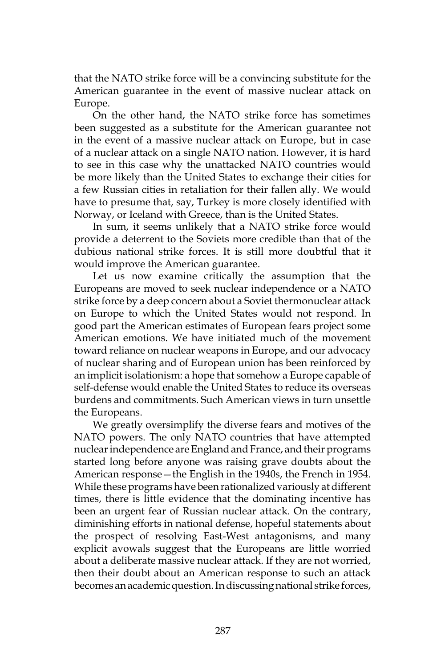that the NATO strike force will be a convincing substitute for the American guarantee in the event of massive nuclear attack on Europe.

On the other hand, the NATO strike force has sometimes been suggested as a substitute for the American guarantee not in the event of a massive nuclear attack on Europe, but in case of a nuclear attack on a single NATO nation. However, it is hard to see in this case why the unattacked NATO countries would be more likely than the United States to exchange their cities for a few Russian cities in retaliation for their fallen ally. We would have to presume that, say, Turkey is more closely identified with Norway, or Iceland with Greece, than is the United States.

In sum, it seems unlikely that a NATO strike force would provide a deterrent to the Soviets more credible than that of the dubious national strike forces. It is still more doubtful that it would improve the American guarantee.

Let us now examine critically the assumption that the Europeans are moved to seek nuclear independence or a NATO strike force by a deep concern about a Soviet thermonuclear attack on Europe to which the United States would not respond. In good part the American estimates of European fears project some American emotions. We have initiated much of the movement toward reliance on nuclear weapons in Europe, and our advocacy of nuclear sharing and of European union has been reinforced by an implicit isolationism: a hope that somehow a Europe capable of self-defense would enable the United States to reduce its overseas burdens and commitments. Such American views in turn unsettle the Europeans.

We greatly oversimplify the diverse fears and motives of the NATO powers. The only NATO countries that have attempted nuclear independence are England and France, and their programs started long before anyone was raising grave doubts about the American response—the English in the 1940s, the French in 1954. While these programs have been rationalized variously at different times, there is little evidence that the dominating incentive has been an urgent fear of Russian nuclear attack. On the contrary, diminishing efforts in national defense, hopeful statements about the prospect of resolving East-West antagonisms, and many explicit avowals suggest that the Europeans are little worried about a deliberate massive nuclear attack. If they are not worried, then their doubt about an American response to such an attack becomes an academic question. In discussing national strike forces,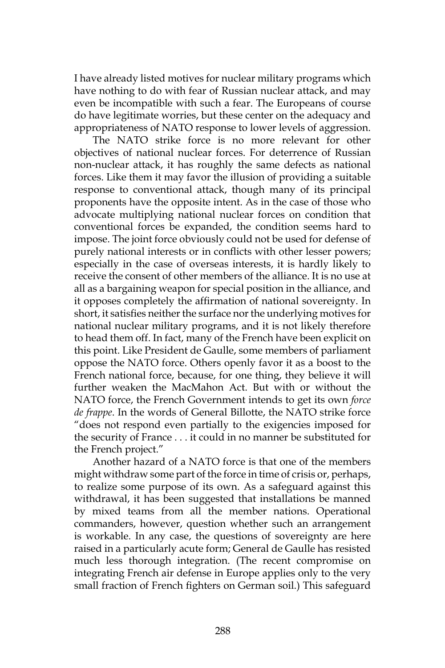I have already listed motives for nuclear military programs which have nothing to do with fear of Russian nuclear attack, and may even be incompatible with such a fear. The Europeans of course do have legitimate worries, but these center on the adequacy and appropriateness of NATO response to lower levels of aggression.

The NATO strike force is no more relevant for other objectives of national nuclear forces. For deterrence of Russian non-nuclear attack, it has roughly the same defects as national forces. Like them it may favor the illusion of providing a suitable response to conventional attack, though many of its principal proponents have the opposite intent. As in the case of those who advocate multiplying national nuclear forces on condition that conventional forces be expanded, the condition seems hard to impose. The joint force obviously could not be used for defense of purely national interests or in conflicts with other lesser powers; especially in the case of overseas interests, it is hardly likely to receive the consent of other members of the alliance. It is no use at all as a bargaining weapon for special position in the alliance, and it opposes completely the affirmation of national sovereignty. In short, it satisfies neither the surface nor the underlying motives for national nuclear military programs, and it is not likely therefore to head them off. In fact, many of the French have been explicit on this point. Like President de Gaulle, some members of parliament oppose the NATO force. Others openly favor it as a boost to the French national force, because, for one thing, they believe it will further weaken the MacMahon Act. But with or without the NATO force, the French Government intends to get its own *force de frappe*. In the words of General Billotte, the NATO strike force "does not respond even partially to the exigencies imposed for the security of France . . . it could in no manner be substituted for the French project."

Another hazard of a NATO force is that one of the members might withdraw some part of the force in time of crisis or, perhaps, to realize some purpose of its own. As a safeguard against this withdrawal, it has been suggested that installations be manned by mixed teams from all the member nations. Operational commanders, however, question whether such an arrangement is workable. In any case, the questions of sovereignty are here raised in a particularly acute form; General de Gaulle has resisted much less thorough integration. (The recent compromise on integrating French air defense in Europe applies only to the very small fraction of French fighters on German soil.) This safeguard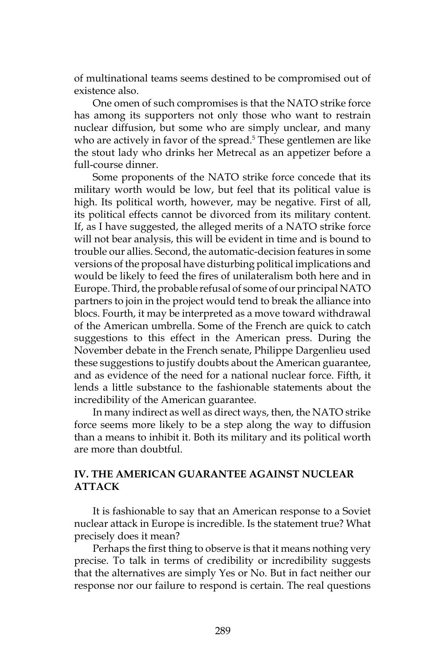of multinational teams seems destined to be compromised out of existence also.

One omen of such compromises is that the NATO strike force has among its supporters not only those who want to restrain nuclear diffusion, but some who are simply unclear, and many who are actively in favor of the spread.<sup>5</sup> These gentlemen are like the stout lady who drinks her Metrecal as an appetizer before a full-course dinner.

Some proponents of the NATO strike force concede that its military worth would be low, but feel that its political value is high. Its political worth, however, may be negative. First of all, its political effects cannot be divorced from its military content. If, as I have suggested, the alleged merits of a NATO strike force will not bear analysis, this will be evident in time and is bound to trouble our allies. Second, the automatic-decision features in some versions of the proposal have disturbing political implications and would be likely to feed the fires of unilateralism both here and in Europe. Third, the probable refusal of some of our principal NATO partners to join in the project would tend to break the alliance into blocs. Fourth, it may be interpreted as a move toward withdrawal of the American umbrella. Some of the French are quick to catch suggestions to this effect in the American press. During the November debate in the French senate, Philippe Dargenlieu used these suggestions to justify doubts about the American guarantee, and as evidence of the need for a national nuclear force. Fifth, it lends a little substance to the fashionable statements about the incredibility of the American guarantee.

In many indirect as well as direct ways, then, the NATO strike force seems more likely to be a step along the way to diffusion than a means to inhibit it. Both its military and its political worth are more than doubtful.

# **IV. THE AMERICAN GUARANTEE AGAINST NUCLEAR ATTACK**

It is fashionable to say that an American response to a Soviet nuclear attack in Europe is incredible. Is the statement true? What precisely does it mean?

Perhaps the first thing to observe is that it means nothing very precise. To talk in terms of credibility or incredibility suggests that the alternatives are simply Yes or No. But in fact neither our response nor our failure to respond is certain. The real questions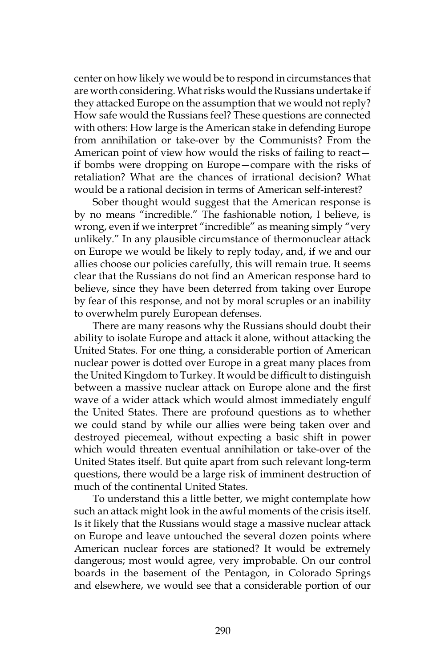center on how likely we would be to respond in circumstances that are worth considering. What risks would the Russians undertake if they attacked Europe on the assumption that we would not reply? How safe would the Russians feel? These questions are connected with others: How large is the American stake in defending Europe from annihilation or take-over by the Communists? From the American point of view how would the risks of failing to react if bombs were dropping on Europe—compare with the risks of retaliation? What are the chances of irrational decision? What would be a rational decision in terms of American self-interest?

Sober thought would suggest that the American response is by no means "incredible." The fashionable notion, I believe, is wrong, even if we interpret "incredible" as meaning simply "very unlikely." In any plausible circumstance of thermonuclear attack on Europe we would be likely to reply today, and, if we and our allies choose our policies carefully, this will remain true. It seems clear that the Russians do not find an American response hard to believe, since they have been deterred from taking over Europe by fear of this response, and not by moral scruples or an inability to overwhelm purely European defenses.

There are many reasons why the Russians should doubt their ability to isolate Europe and attack it alone, without attacking the United States. For one thing, a considerable portion of American nuclear power is dotted over Europe in a great many places from the United Kingdom to Turkey. It would be difficult to distinguish between a massive nuclear attack on Europe alone and the first wave of a wider attack which would almost immediately engulf the United States. There are profound questions as to whether we could stand by while our allies were being taken over and destroyed piecemeal, without expecting a basic shift in power which would threaten eventual annihilation or take-over of the United States itself. But quite apart from such relevant long-term questions, there would be a large risk of imminent destruction of much of the continental United States.

To understand this a little better, we might contemplate how such an attack might look in the awful moments of the crisis itself. Is it likely that the Russians would stage a massive nuclear attack on Europe and leave untouched the several dozen points where American nuclear forces are stationed? It would be extremely dangerous; most would agree, very improbable. On our control boards in the basement of the Pentagon, in Colorado Springs and elsewhere, we would see that a considerable portion of our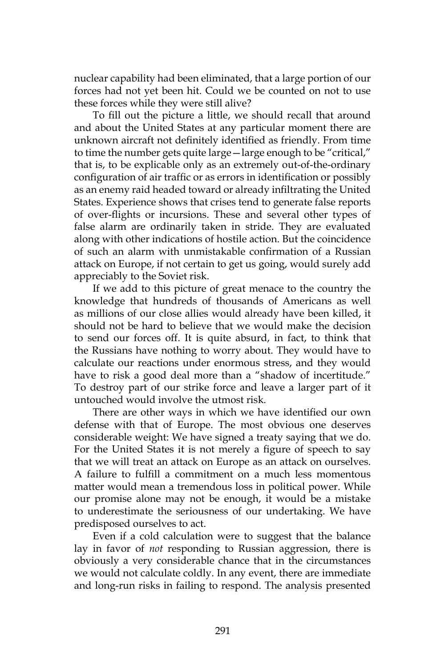nuclear capability had been eliminated, that a large portion of our forces had not yet been hit. Could we be counted on not to use these forces while they were still alive?

To fill out the picture a little, we should recall that around and about the United States at any particular moment there are unknown aircraft not definitely identified as friendly. From time to time the number gets quite large—large enough to be "critical," that is, to be explicable only as an extremely out-of-the-ordinary configuration of air traffic or as errors in identification or possibly as an enemy raid headed toward or already infiltrating the United States. Experience shows that crises tend to generate false reports of over-flights or incursions. These and several other types of false alarm are ordinarily taken in stride. They are evaluated along with other indications of hostile action. But the coincidence of such an alarm with unmistakable confirmation of a Russian attack on Europe, if not certain to get us going, would surely add appreciably to the Soviet risk.

If we add to this picture of great menace to the country the knowledge that hundreds of thousands of Americans as well as millions of our close allies would already have been killed, it should not be hard to believe that we would make the decision to send our forces off. It is quite absurd, in fact, to think that the Russians have nothing to worry about. They would have to calculate our reactions under enormous stress, and they would have to risk a good deal more than a "shadow of incertitude." To destroy part of our strike force and leave a larger part of it untouched would involve the utmost risk.

There are other ways in which we have identified our own defense with that of Europe. The most obvious one deserves considerable weight: We have signed a treaty saying that we do. For the United States it is not merely a figure of speech to say that we will treat an attack on Europe as an attack on ourselves. A failure to fulfill a commitment on a much less momentous matter would mean a tremendous loss in political power. While our promise alone may not be enough, it would be a mistake to underestimate the seriousness of our undertaking. We have predisposed ourselves to act.

Even if a cold calculation were to suggest that the balance lay in favor of *not* responding to Russian aggression, there is obviously a very considerable chance that in the circumstances we would not calculate coldly. In any event, there are immediate and long-run risks in failing to respond. The analysis presented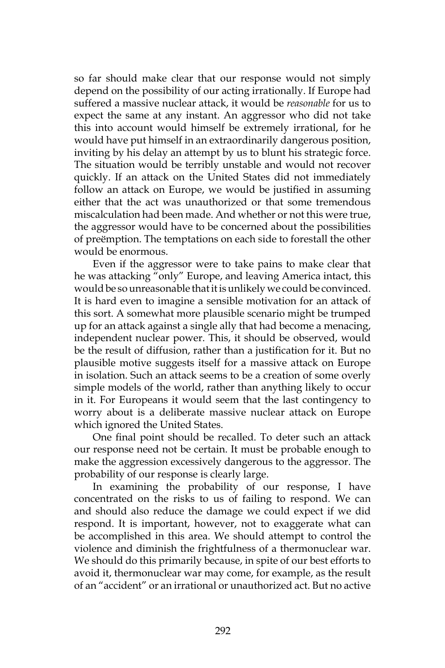so far should make clear that our response would not simply depend on the possibility of our acting irrationally. If Europe had suffered a massive nuclear attack, it would be *reasonable* for us to expect the same at any instant. An aggressor who did not take this into account would himself be extremely irrational, for he would have put himself in an extraordinarily dangerous position, inviting by his delay an attempt by us to blunt his strategic force. The situation would be terribly unstable and would not recover quickly. If an attack on the United States did not immediately follow an attack on Europe, we would be justified in assuming either that the act was unauthorized or that some tremendous miscalculation had been made. And whether or not this were true, the aggressor would have to be concerned about the possibilities of preëmption. The temptations on each side to forestall the other would be enormous.

Even if the aggressor were to take pains to make clear that he was attacking "only" Europe, and leaving America intact, this would be so unreasonable that it is unlikely we could be convinced. It is hard even to imagine a sensible motivation for an attack of this sort. A somewhat more plausible scenario might be trumped up for an attack against a single ally that had become a menacing, independent nuclear power. This, it should be observed, would be the result of diffusion, rather than a justification for it. But no plausible motive suggests itself for a massive attack on Europe in isolation. Such an attack seems to be a creation of some overly simple models of the world, rather than anything likely to occur in it. For Europeans it would seem that the last contingency to worry about is a deliberate massive nuclear attack on Europe which ignored the United States.

One final point should be recalled. To deter such an attack our response need not be certain. It must be probable enough to make the aggression excessively dangerous to the aggressor. The probability of our response is clearly large.

In examining the probability of our response, I have concentrated on the risks to us of failing to respond. We can and should also reduce the damage we could expect if we did respond. It is important, however, not to exaggerate what can be accomplished in this area. We should attempt to control the violence and diminish the frightfulness of a thermonuclear war. We should do this primarily because, in spite of our best efforts to avoid it, thermonuclear war may come, for example, as the result of an "accident" or an irrational or unauthorized act. But no active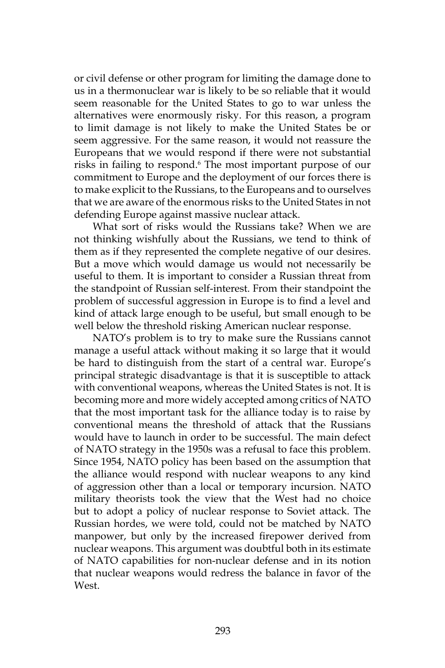or civil defense or other program for limiting the damage done to us in a thermonuclear war is likely to be so reliable that it would seem reasonable for the United States to go to war unless the alternatives were enormously risky. For this reason, a program to limit damage is not likely to make the United States be or seem aggressive. For the same reason, it would not reassure the Europeans that we would respond if there were not substantial risks in failing to respond.<sup>6</sup> The most important purpose of our commitment to Europe and the deployment of our forces there is to make explicit to the Russians, to the Europeans and to ourselves that we are aware of the enormous risks to the United States in not defending Europe against massive nuclear attack.

What sort of risks would the Russians take? When we are not thinking wishfully about the Russians, we tend to think of them as if they represented the complete negative of our desires. But a move which would damage us would not necessarily be useful to them. It is important to consider a Russian threat from the standpoint of Russian self-interest. From their standpoint the problem of successful aggression in Europe is to find a level and kind of attack large enough to be useful, but small enough to be well below the threshold risking American nuclear response.

NATO's problem is to try to make sure the Russians cannot manage a useful attack without making it so large that it would be hard to distinguish from the start of a central war. Europe's principal strategic disadvantage is that it is susceptible to attack with conventional weapons, whereas the United States is not. It is becoming more and more widely accepted among critics of NATO that the most important task for the alliance today is to raise by conventional means the threshold of attack that the Russians would have to launch in order to be successful. The main defect of NATO strategy in the 1950s was a refusal to face this problem. Since 1954, NATO policy has been based on the assumption that the alliance would respond with nuclear weapons to any kind of aggression other than a local or temporary incursion. NATO military theorists took the view that the West had no choice but to adopt a policy of nuclear response to Soviet attack. The Russian hordes, we were told, could not be matched by NATO manpower, but only by the increased firepower derived from nuclear weapons. This argument was doubtful both in its estimate of NATO capabilities for non-nuclear defense and in its notion that nuclear weapons would redress the balance in favor of the West.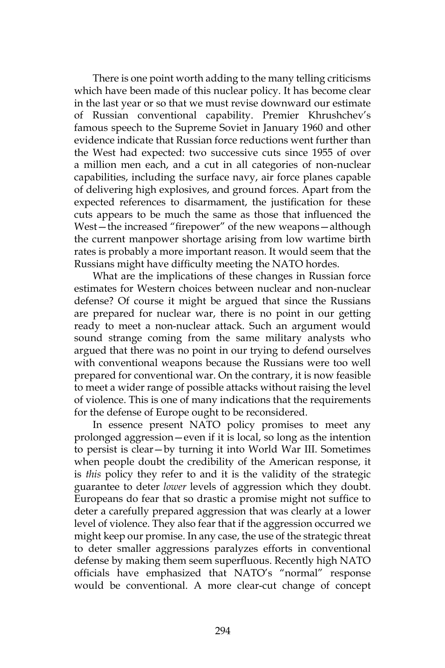There is one point worth adding to the many telling criticisms which have been made of this nuclear policy. It has become clear in the last year or so that we must revise downward our estimate of Russian conventional capability. Premier Khrushchev's famous speech to the Supreme Soviet in January 1960 and other evidence indicate that Russian force reductions went further than the West had expected: two successive cuts since 1955 of over a million men each, and a cut in all categories of non-nuclear capabilities, including the surface navy, air force planes capable of delivering high explosives, and ground forces. Apart from the expected references to disarmament, the justification for these cuts appears to be much the same as those that influenced the West—the increased "firepower" of the new weapons—although the current manpower shortage arising from low wartime birth rates is probably a more important reason. It would seem that the Russians might have difficulty meeting the NATO hordes.

What are the implications of these changes in Russian force estimates for Western choices between nuclear and non-nuclear defense? Of course it might be argued that since the Russians are prepared for nuclear war, there is no point in our getting ready to meet a non-nuclear attack. Such an argument would sound strange coming from the same military analysts who argued that there was no point in our trying to defend ourselves with conventional weapons because the Russians were too well prepared for conventional war. On the contrary, it is now feasible to meet a wider range of possible attacks without raising the level of violence. This is one of many indications that the requirements for the defense of Europe ought to be reconsidered.

In essence present NATO policy promises to meet any prolonged aggression—even if it is local, so long as the intention to persist is clear—by turning it into World War III. Sometimes when people doubt the credibility of the American response, it is *this* policy they refer to and it is the validity of the strategic guarantee to deter *lower* levels of aggression which they doubt. Europeans do fear that so drastic a promise might not suffice to deter a carefully prepared aggression that was clearly at a lower level of violence. They also fear that if the aggression occurred we might keep our promise. In any case, the use of the strategic threat to deter smaller aggressions paralyzes efforts in conventional defense by making them seem superfluous. Recently high NATO officials have emphasized that NATO's "normal" response would be conventional. A more clear-cut change of concept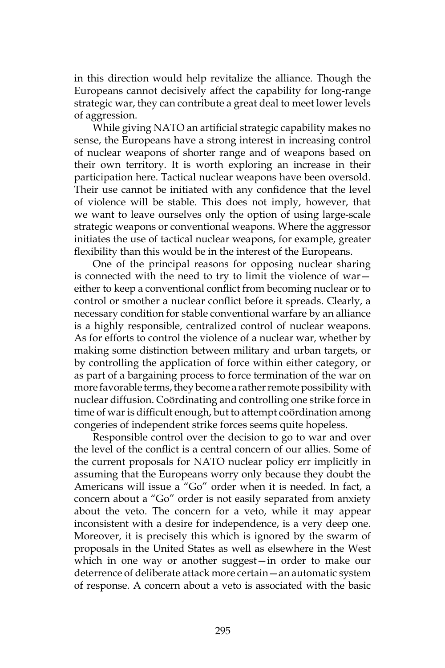in this direction would help revitalize the alliance. Though the Europeans cannot decisively affect the capability for long-range strategic war, they can contribute a great deal to meet lower levels of aggression.

While giving NATO an artificial strategic capability makes no sense, the Europeans have a strong interest in increasing control of nuclear weapons of shorter range and of weapons based on their own territory. It is worth exploring an increase in their participation here. Tactical nuclear weapons have been oversold. Their use cannot be initiated with any confidence that the level of violence will be stable. This does not imply, however, that we want to leave ourselves only the option of using large-scale strategic weapons or conventional weapons. Where the aggressor initiates the use of tactical nuclear weapons, for example, greater flexibility than this would be in the interest of the Europeans.

One of the principal reasons for opposing nuclear sharing is connected with the need to try to limit the violence of war either to keep a conventional conflict from becoming nuclear or to control or smother a nuclear conflict before it spreads. Clearly, a necessary condition for stable conventional warfare by an alliance is a highly responsible, centralized control of nuclear weapons. As for efforts to control the violence of a nuclear war, whether by making some distinction between military and urban targets, or by controlling the application of force within either category, or as part of a bargaining process to force termination of the war on more favorable terms, they become a rather remote possibility with nuclear diffusion. Coördinating and controlling one strike force in time of war is difficult enough, but to attempt coördination among congeries of independent strike forces seems quite hopeless.

Responsible control over the decision to go to war and over the level of the conflict is a central concern of our allies. Some of the current proposals for NATO nuclear policy err implicitly in assuming that the Europeans worry only because they doubt the Americans will issue a "Go" order when it is needed. In fact, a concern about a "Go" order is not easily separated from anxiety about the veto. The concern for a veto, while it may appear inconsistent with a desire for independence, is a very deep one. Moreover, it is precisely this which is ignored by the swarm of proposals in the United States as well as elsewhere in the West which in one way or another suggest—in order to make our deterrence of deliberate attack more certain—an automatic system of response. A concern about a veto is associated with the basic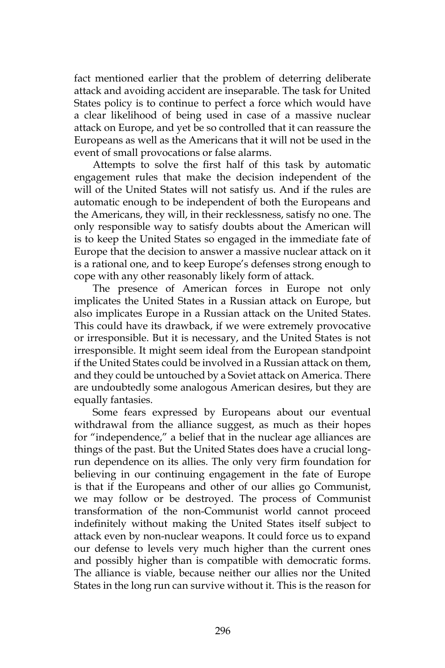fact mentioned earlier that the problem of deterring deliberate attack and avoiding accident are inseparable. The task for United States policy is to continue to perfect a force which would have a clear likelihood of being used in case of a massive nuclear attack on Europe, and yet be so controlled that it can reassure the Europeans as well as the Americans that it will not be used in the event of small provocations or false alarms.

Attempts to solve the first half of this task by automatic engagement rules that make the decision independent of the will of the United States will not satisfy us. And if the rules are automatic enough to be independent of both the Europeans and the Americans, they will, in their recklessness, satisfy no one. The only responsible way to satisfy doubts about the American will is to keep the United States so engaged in the immediate fate of Europe that the decision to answer a massive nuclear attack on it is a rational one, and to keep Europe's defenses strong enough to cope with any other reasonably likely form of attack.

The presence of American forces in Europe not only implicates the United States in a Russian attack on Europe, but also implicates Europe in a Russian attack on the United States. This could have its drawback, if we were extremely provocative or irresponsible. But it is necessary, and the United States is not irresponsible. It might seem ideal from the European standpoint if the United States could be involved in a Russian attack on them, and they could be untouched by a Soviet attack on America. There are undoubtedly some analogous American desires, but they are equally fantasies.

Some fears expressed by Europeans about our eventual withdrawal from the alliance suggest, as much as their hopes for "independence," a belief that in the nuclear age alliances are things of the past. But the United States does have a crucial longrun dependence on its allies. The only very firm foundation for believing in our continuing engagement in the fate of Europe is that if the Europeans and other of our allies go Communist, we may follow or be destroyed. The process of Communist transformation of the non-Communist world cannot proceed indefinitely without making the United States itself subject to attack even by non-nuclear weapons. It could force us to expand our defense to levels very much higher than the current ones and possibly higher than is compatible with democratic forms. The alliance is viable, because neither our allies nor the United States in the long run can survive without it. This is the reason for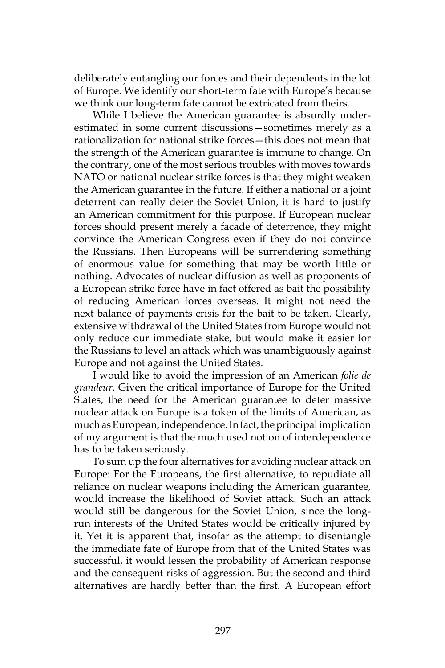deliberately entangling our forces and their dependents in the lot of Europe. We identify our short-term fate with Europe's because we think our long-term fate cannot be extricated from theirs.

While I believe the American guarantee is absurdly underestimated in some current discussions—sometimes merely as a rationalization for national strike forces—this does not mean that the strength of the American guarantee is immune to change. On the contrary, one of the most serious troubles with moves towards NATO or national nuclear strike forces is that they might weaken the American guarantee in the future. If either a national or a joint deterrent can really deter the Soviet Union, it is hard to justify an American commitment for this purpose. If European nuclear forces should present merely a facade of deterrence, they might convince the American Congress even if they do not convince the Russians. Then Europeans will be surrendering something of enormous value for something that may be worth little or nothing. Advocates of nuclear diffusion as well as proponents of a European strike force have in fact offered as bait the possibility of reducing American forces overseas. It might not need the next balance of payments crisis for the bait to be taken. Clearly, extensive withdrawal of the United States from Europe would not only reduce our immediate stake, but would make it easier for the Russians to level an attack which was unambiguously against Europe and not against the United States.

I would like to avoid the impression of an American *folie de grandeur*. Given the critical importance of Europe for the United States, the need for the American guarantee to deter massive nuclear attack on Europe is a token of the limits of American, as much as European, independence. In fact, the principal implication of my argument is that the much used notion of interdependence has to be taken seriously.

To sum up the four alternatives for avoiding nuclear attack on Europe: For the Europeans, the first alternative, to repudiate all reliance on nuclear weapons including the American guarantee, would increase the likelihood of Soviet attack. Such an attack would still be dangerous for the Soviet Union, since the longrun interests of the United States would be critically injured by it. Yet it is apparent that, insofar as the attempt to disentangle the immediate fate of Europe from that of the United States was successful, it would lessen the probability of American response and the consequent risks of aggression. But the second and third alternatives are hardly better than the first. A European effort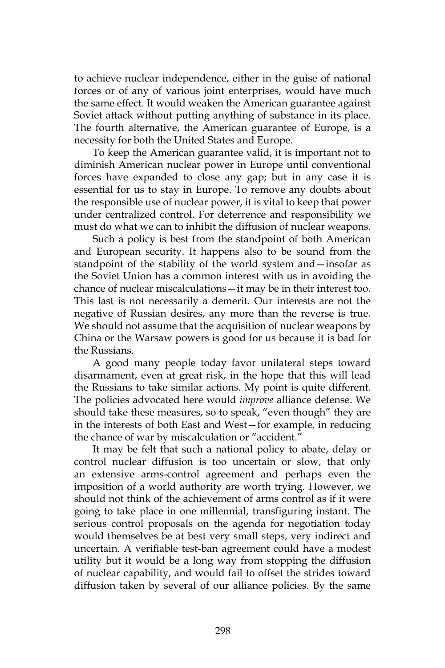to achieve nuclear independence, either in the guise of national forces or of any of various joint enterprises, would have much the same effect. It would weaken the American guarantee against Soviet attack without putting anything of substance in its place. The fourth alternative, the American guarantee of Europe, is a necessity for both the United States and Europe.

To keep the American guarantee valid, it is important not to diminish American nuclear power in Europe until conventional forces have expanded to close any gap; but in any case it is essential for us to stay in Europe. To remove any doubts about the responsible use of nuclear power, it is vital to keep that power under centralized control. For deterrence and responsibility we must do what we can to inhibit the diffusion of nuclear weapons.

Such a policy is best from the standpoint of both American and European security. It happens also to be sound from the standpoint of the stability of the world system and—insofar as the Soviet Union has a common interest with us in avoiding the chance of nuclear miscalculations—it may be in their interest too. This last is not necessarily a demerit. Our interests are not the negative of Russian desires, any more than the reverse is true. We should not assume that the acquisition of nuclear weapons by China or the Warsaw powers is good for us because it is bad for the Russians.

A good many people today favor unilateral steps toward disarmament, even at great risk, in the hope that this will lead the Russians to take similar actions. My point is quite different. The policies advocated here would *improve* alliance defense. We should take these measures, so to speak, "even though" they are in the interests of both East and West—for example, in reducing the chance of war by miscalculation or "accident."

It may be felt that such a national policy to abate, delay or control nuclear diffusion is too uncertain or slow, that only an extensive arms-control agreement and perhaps even the imposition of a world authority are worth trying. However, we should not think of the achievement of arms control as if it were going to take place in one millennial, transfiguring instant. The serious control proposals on the agenda for negotiation today would themselves be at best very small steps, very indirect and uncertain. A verifiable test-ban agreement could have a modest utility but it would be a long way from stopping the diffusion of nuclear capability, and would fail to offset the strides toward diffusion taken by several of our alliance policies. By the same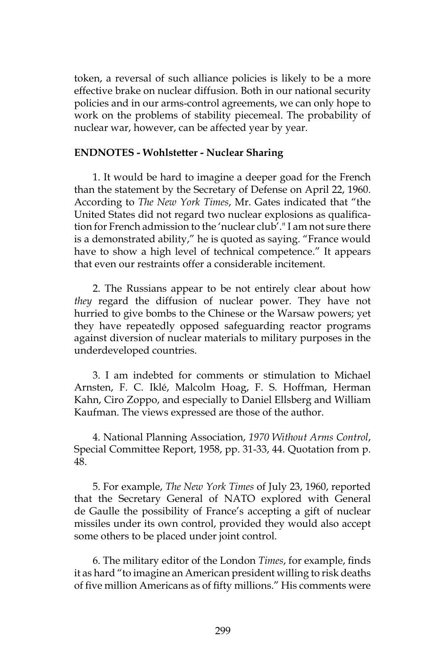token, a reversal of such alliance policies is likely to be a more effective brake on nuclear diffusion. Both in our national security policies and in our arms-control agreements, we can only hope to work on the problems of stability piecemeal. The probability of nuclear war, however, can be affected year by year.

## **ENDNOTES - Wohlstetter - Nuclear Sharing**

1. It would be hard to imagine a deeper goad for the French than the statement by the Secretary of Defense on April 22, 1960. According to *The New York Times*, Mr. Gates indicated that "the United States did not regard two nuclear explosions as qualification for French admission to the 'nuclear club'." I am not sure there is a demonstrated ability," he is quoted as saying. "France would have to show a high level of technical competence." It appears that even our restraints offer a considerable incitement.

2. The Russians appear to be not entirely clear about how *they* regard the diffusion of nuclear power. They have not hurried to give bombs to the Chinese or the Warsaw powers; yet they have repeatedly opposed safeguarding reactor programs against diversion of nuclear materials to military purposes in the underdeveloped countries.

3. I am indebted for comments or stimulation to Michael Arnsten, F. C. Iklé, Malcolm Hoag, F. S. Hoffman, Herman Kahn, Ciro Zoppo, and especially to Daniel Ellsberg and William Kaufman. The views expressed are those of the author.

4. National Planning Association, *1970 Without Arms Control*, Special Committee Report, 1958, pp. 31-33, 44. Quotation from p. 48.

5. For example, *The New York Times* of July 23, 1960, reported that the Secretary General of NATO explored with General de Gaulle the possibility of France's accepting a gift of nuclear missiles under its own control, provided they would also accept some others to be placed under joint control.

6. The military editor of the London *Times*, for example, finds it as hard "to imagine an American president willing to risk deaths of five million Americans as of fifty millions." His comments were